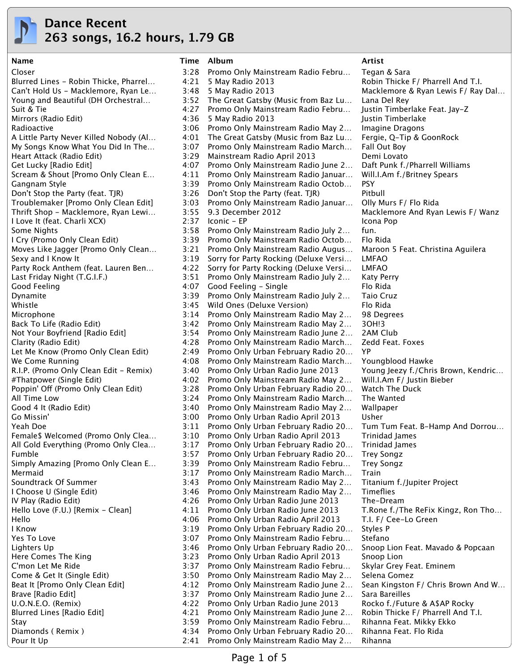

# **Dance Recent 263 songs, 16.2 hours, 1.79 GB**

Closer 3:28 Promo Only Mainstream Radio Febru… Tegan & Sara Pour It Up 2:41 Promo Only Mainstream Radio May 2… Rihanna

## Blurred Lines - Robin Thicke, Pharrel… 4:21 5 May Radio 2013 Robin Thicke F/ Pharrell And T.I. Can't Hold Us - Macklemore, Ryan Le... 3:48 5 May Radio 2013 Macklemore & Ryan Lewis F/ Ray Dal... Young and Beautiful (DH Orchestral… 3:52 The Great Gatsby (Music from Baz Lu… Lana Del Rey Suit & Tie 4:27 Promo Only Mainstream Radio Febru… Justin Timberlake Feat. Jay-Z Mirrors (Radio Edit) 4:36 5 May Radio 2013 Justin Timberlake Radioactive **3:06 Promo Only Mainstream Radio May 2...** Imagine Dragons A Little Party Never Killed Nobody (Al… 4:01 The Great Gatsby (Music from Baz Lu… Fergie, Q-Tip & GoonRock My Songs Know What You Did In The… 3:07 Promo Only Mainstream Radio March… Fall Out Boy Heart Attack (Radio Edit) 3:29 Mainstream Radio April 2013 Demi Lovato Get Lucky [Radio Edit] 4:07 Promo Only Mainstream Radio June 2… Daft Punk f./Pharrell Williams Scream & Shout [Promo Only Clean E… 4:11 Promo Only Mainstream Radio Januar… Will.I.Am f./Britney Spears Gangnam Style 3:39 Promo Only Mainstream Radio Octob... PSY Don't Stop the Party (feat. TJR) 3:26 Don't Stop the Party (feat. TJR) Pitbull Troublemaker [Promo Only Clean Edit] 3:03 Promo Only Mainstream Radio Januar… Olly Murs F/ Flo Rida Thrift Shop - Macklemore, Ryan Lewi… 3:55 9.3 December 2012 Macklemore And Ryan Lewis F/ Wanz I Love It (feat. Charli XCX) 2:37 Iconic - EP Icona Pop Some Nights 3:58 Promo Only Mainstream Radio July 2... fun. I Cry (Promo Only Clean Edit) 3:39 Promo Only Mainstream Radio Octob… Flo Rida Moves Like Jagger [Promo Only Clean… 3:21 Promo Only Mainstream Radio Augus… Maroon 5 Feat. Christina Aguilera Sexy and I Know It **3:19 Sorry for Party Rocking (Deluxe Versi...** LMFAO Party Rock Anthem (feat. Lauren Ben… 4:22 Sorry for Party Rocking (Deluxe Versi… LMFAO Last Friday Night (T.G.I.F.) 3:51 Promo Only Mainstream Radio July 2… Katy Perry Good Feeling **Attachment Cooley A:07** Good Feeling - Single **Flo** Rida Flo Rida Dynamite **3:39 Promo Only Mainstream Radio July 2...** Taio Cruz Whistle 3:45 Wild Ones (Deluxe Version) Flo Rida Microphone 3:14 Promo Only Mainstream Radio May 2… 98 Degrees Back To Life (Radio Edit) 3:42 Promo Only Mainstream Radio May 2… 3OH!3 Not Your Boyfriend [Radio Edit] 3:54 Promo Only Mainstream Radio June 2… 2AM Club Clarity (Radio Edit) 4:28 Promo Only Mainstream Radio March… Zedd Feat. Foxes Let Me Know (Promo Only Clean Edit) 2:49 Promo Only Urban February Radio 20... YP We Come Running The Running **4:08 Promo Only Mainstream Radio March…** Youngblood Hawke R.I.P. (Promo Only Clean Edit - Remix) 3:40 Promo Only Urban Radio June 2013 Young Jeezy f./Chris Brown, Kendric... #Thatpower (Single Edit) 4:02 Promo Only Mainstream Radio May 2… Will.I.Am F/ Justin Bieber Poppin' Off (Promo Only Clean Edit) 3:28 Promo Only Urban February Radio 20... Watch The Duck All Time Low 3:24 Promo Only Mainstream Radio March… The Wanted Good 4 It (Radio Edit) 3:40 Promo Only Mainstream Radio May 2... Wallpaper Go Missin' 3:00 Promo Only Urban Radio April 2013 Usher Yeah Doe 3:11 Promo Only Urban February Radio 20… Tum Tum Feat. B-Hamp And Dorrou… Female\$ Welcomed (Promo Only Clea… 3:10 Promo Only Urban Radio April 2013 Trinidad James All Gold Everything (Promo Only Clea… 3:17 Promo Only Urban February Radio 20… Trinidad James Fumble 3:57 Promo Only Urban February Radio 20… Trey Songz Simply Amazing [Promo Only Clean E... 3:39 Promo Only Mainstream Radio Febru... Trey Songz Mermaid 3:17 Promo Only Mainstream Radio March… Train Soundtrack Of Summer 3:43 Promo Only Mainstream Radio May 2… Titanium f./Jupiter Project I Choose U (Single Edit) 3:46 Promo Only Mainstream Radio May 2… Timeflies IV Play (Radio Edit) 4:26 Promo Only Urban Radio June 2013 The-Dream Hello Love (F.U.) [Remix - Clean] 4:11 Promo Only Urban Radio June 2013 T.Rone f./The ReFix Kingz, Ron Tho... Hello 4:06 Promo Only Urban Radio April 2013 T.I. F/ Cee-Lo Green I Know 3:19 Promo Only Urban February Radio 20… Styles P Yes To Love **3:07 Promo Only Mainstream Radio Febru...** Stefano Lighters Up **3:46 Promo Only Urban February Radio 20...** Snoop Lion Feat. Mavado & Popcaan Here Comes The King 3:23 Promo Only Urban Radio April 2013 Snoop Lion C'mon Let Me Ride 3:37 Promo Only Mainstream Radio Febru... Skylar Grey Feat. Eminem Come & Get It (Single Edit) 3:50 Promo Only Mainstream Radio May 2… Selena Gomez Beat It [Promo Only Clean Edit] 4:12 Promo Only Mainstream Radio June 2… Sean Kingston F/ Chris Brown And W… Brave [Radio Edit] 3:37 Promo Only Mainstream Radio June 2… Sara Bareilles U.O.N.E.O. (Remix) 4:22 Promo Only Urban Radio June 2013 Rocko f./Future & A\$AP Rocky Blurred Lines [Radio Edit] 4:21 Promo Only Mainstream Radio June 2… Robin Thicke F/ Pharrell And T.I. Stay 3:59 Promo Only Mainstream Radio Febru… Rihanna Feat. Mikky Ekko Diamonds ( Remix ) 4:34 Promo Only Urban February Radio 20… Rihanna Feat. Flo Rida

**Name Time Album Artist**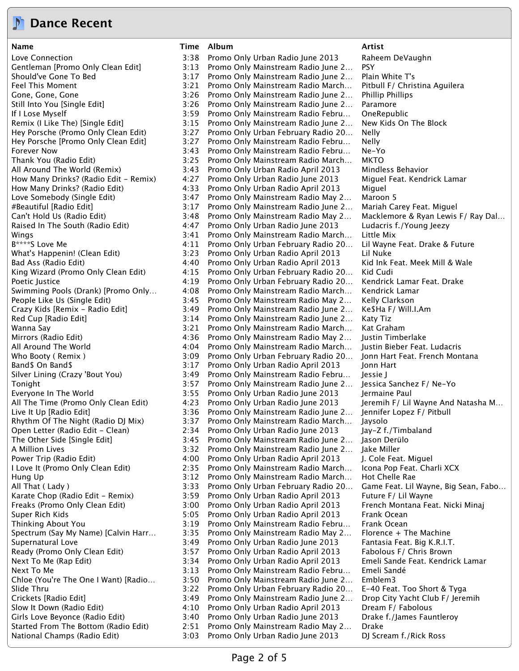

# **Dance Recent**

**Name Time Album Artist**

Love Connection 3:38 Promo Only Urban Radio June 2013 Raheem DeVaughn Gentleman [Promo Only Clean Edit] 3:13 Promo Only Mainstream Radio June 2… PSY Should've Gone To Bed 3:17 Promo Only Mainstream Radio June 2… Plain White T's Feel This Moment **1988** 3:21 Promo Only Mainstream Radio March... Pitbull F/ Christina Aguilera Gone, Gone, Gone 3:26 Promo Only Mainstream Radio June 2... Phillip Phillips Still Into You [Single Edit] 3:26 Promo Only Mainstream Radio June 2… Paramore If I Lose Myself 3:59 Promo Only Mainstream Radio Febru… OneRepublic Remix (I Like The) [Single Edit] 3:15 Promo Only Mainstream Radio June 2… New Kids On The Block Hey Porsche (Promo Only Clean Edit) 3:27 Promo Only Urban February Radio 20… Nelly Hey Porsche [Promo Only Clean Edit] 3:27 Promo Only Mainstream Radio Febru… Nelly Forever Now 3:43 Promo Only Mainstream Radio Febru… Ne-Yo Thank You (Radio Edit) 3:25 Promo Only Mainstream Radio March… MKTO All Around The World (Remix) 3:43 Promo Only Urban Radio April 2013 Mindless Behavior How Many Drinks? (Radio Edit - Remix) 4:27 Promo Only Urban Radio June 2013 Miguel Feat. Kendrick Lamar How Many Drinks? (Radio Edit) 4:33 Promo Only Urban Radio April 2013 Miguel Love Somebody (Single Edit) 3:47 Promo Only Mainstream Radio May 2… Maroon 5 #Beautiful [Radio Edit] 3:17 Promo Only Mainstream Radio June 2… Mariah Carey Feat. Miguel Can't Hold Us (Radio Edit) 3:48 Promo Only Mainstream Radio May 2… Macklemore & Ryan Lewis F/ Ray Dal… Raised In The South (Radio Edit) 4:47 Promo Only Urban Radio June 2013 Ludacris f./Young Jeezy Wings 3:41 Promo Only Mainstream Radio March... Little Mix B\*\*\*\*S Love Me **Auch 20 A:11 Promo Only Urban February Radio 20...** Lil Wayne Feat. Drake & Future What's Happenin! (Clean Edit) 3:23 Promo Only Urban Radio April 2013 Lil Nuke Bad Ass (Radio Edit) 4:40 Promo Only Urban Radio April 2013 Kid Ink Feat. Meek Mill & Wale King Wizard (Promo Only Clean Edit) 4:15 Promo Only Urban February Radio 20… Kid Cudi Poetic Justice 4:19 Promo Only Urban February Radio 20… Kendrick Lamar Feat. Drake Swimming Pools (Drank) [Promo Only… 4:08 Promo Only Mainstream Radio March… Kendrick Lamar People Like Us (Single Edit) 3:45 Promo Only Mainstream Radio May 2… Kelly Clarkson Crazy Kids [Remix - Radio Edit] 3:49 Promo Only Mainstream Radio June 2… Ke\$Ha F/ Will.I.Am Red Cup [Radio Edit] 3:14 Promo Only Mainstream Radio June 2… Katy Tiz Wanna Say **3:21 Promo Only Mainstream Radio March...** Kat Graham Mirrors (Radio Edit) 4:36 Promo Only Mainstream Radio May 2… Justin Timberlake All Around The World **All Arioun 2018** 4:04 Promo Only Mainstream Radio March… Justin Bieber Feat. Ludacris Who Booty ( Remix ) 3:09 Promo Only Urban February Radio 20... Jonn Hart Feat. French Montana Band\$ On Band\$ 3:17 Promo Only Urban Radio April 2013 Jonn Hart Silver Lining (Crazy 'Bout You) 3:49 Promo Only Mainstream Radio Febru… Jessie J Tonight 3:57 Promo Only Mainstream Radio June 2… Jessica Sanchez F/ Ne-Yo Everyone In The World 3:55 Promo Only Urban Radio June 2013 Jermaine Paul All The Time (Promo Only Clean Edit) 4:23 Promo Only Urban Radio June 2013 Jeremih F/ Lil Wayne And Natasha M… Live It Up [Radio Edit] 3:36 Promo Only Mainstream Radio June 2… Jennifer Lopez F/ Pitbull Rhythm Of The Night (Radio DJ Mix) 3:37 Promo Only Mainstream Radio March… Jaysolo Open Letter (Radio Edit - Clean) 2:34 Promo Only Urban Radio June 2013 Jay-Z f./Timbaland The Other Side [Single Edit] 3:45 Promo Only Mainstream Radio June 2… Jason Derülo A Million Lives **3.32 Promo Only Mainstream Radio June 2...** Jake Miller Power Trip (Radio Edit) 4:00 Promo Only Urban Radio April 2013 J. Cole Feat. Miguel<br>1 Love It (Promo Only Clean Edit) 2:35 Promo Only Mainstream Radio March... Icona Pop Feat. Cha 2:35 Promo Only Mainstream Radio March... Icona Pop Feat. Charli XCX Hung Up 3:12 Promo Only Mainstream Radio March... Hot Chelle Rae All That (Lady ) 3:33 Promo Only Urban February Radio 20... Game Feat. Lil Wayne, Big Sean, Fabo... Karate Chop (Radio Edit - Remix) 3:59 Promo Only Urban Radio April 2013 Future F/ Lil Wayne Freaks (Promo Only Clean Edit) 3:00 Promo Only Urban Radio April 2013 French Montana Feat. Nicki Minaj Super Rich Kids **5:05 Promo Only Urban Radio April 2013** Frank Ocean Thinking About You 3:19 Promo Only Mainstream Radio Febru… Frank Ocean Spectrum (Say My Name) [Calvin Harr… 3:35 Promo Only Mainstream Radio May 2… Florence + The Machine Supernatural Love **3:49 Promo Only Urban Radio June 2013** Fantasia Feat. Big K.R.I.T. Ready (Promo Only Clean Edit) 3:57 Promo Only Urban Radio April 2013 Fabolous F/ Chris Brown Next To Me (Rap Edit) 3:34 Promo Only Urban Radio April 2013 Emeli Sande Feat. Kendrick Lamar Next To Me 3:13 Promo Only Mainstream Radio Febru... Emeli Sandé Chloe (You're The One I Want) [Radio… 3:50 Promo Only Mainstream Radio June 2… Emblem3 Slide Thru 3:22 Promo Only Urban February Radio 20… E-40 Feat. Too Short & Tyga Crickets [Radio Edit] 3:49 Promo Only Mainstream Radio June 2… Drop City Yacht Club F/ Jeremih Slow It Down (Radio Edit) 4:10 Promo Only Urban Radio April 2013 Dream F/ Fabolous Girls Love Beyonce (Radio Edit) 3:40 Promo Only Urban Radio June 2013 Drake f./James Fauntleroy Started From The Bottom (Radio Edit) 2:51 Promo Only Mainstream Radio May 2… Drake National Champs (Radio Edit) 3:03 Promo Only Urban Radio June 2013 DJ Scream f./Rick Ross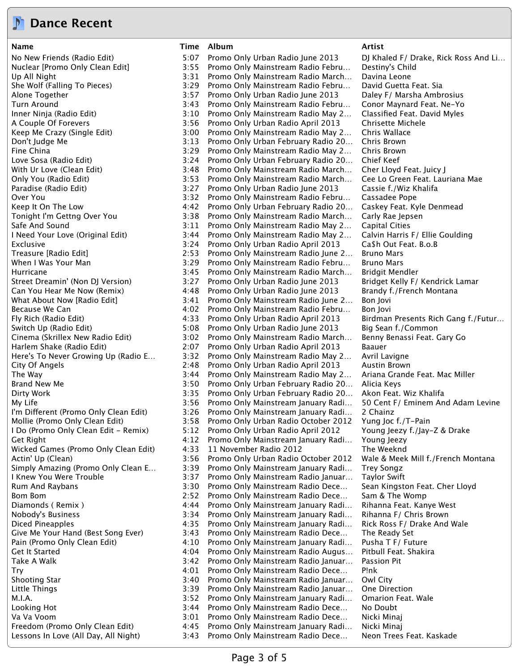

## **Dance Recent**

**Name Time Album Artist**

No New Friends (Radio Edit) 5:07 Promo Only Urban Radio June 2013 DJ Khaled F/ Drake, Rick Ross And Li… Nuclear [Promo Only Clean Edit] 3:55 Promo Only Mainstream Radio Febru… Destiny's Child Up All Night 3:31 Promo Only Mainstream Radio March... Davina Leone She Wolf (Falling To Pieces) 3:29 Promo Only Mainstream Radio Febru… David Guetta Feat. Sia Alone Together 3:57 Promo Only Urban Radio June 2013 Daley F/ Marsha Ambrosius Turn Around 3:43 Promo Only Mainstream Radio Febru… Conor Maynard Feat. Ne-Yo Inner Ninja (Radio Edit) 3:10 Promo Only Mainstream Radio May 2… Classified Feat. David Myles A Couple Of Forevers 3:56 Promo Only Urban Radio April 2013 Chrisette Michele Keep Me Crazy (Single Edit) 3:00 Promo Only Mainstream Radio May 2… Chris Wallace Don't Judge Me 3:13 Promo Only Urban February Radio 20… Chris Brown Fine China 3:29 Promo Only Mainstream Radio May 2… Chris Brown Love Sosa (Radio Edit) 3:24 Promo Only Urban February Radio 20… Chief Keef With Ur Love (Clean Edit) 3:48 Promo Only Mainstream Radio March… Cher Lloyd Feat. Juicy J Only You (Radio Edit) 3:53 Promo Only Mainstream Radio March… Cee Lo Green Feat. Lauriana Mae Paradise (Radio Edit) 3:27 Promo Only Urban Radio June 2013 Cassie f./Wiz Khalifa Over You 3:32 Promo Only Mainstream Radio Febru… Cassadee Pope Keep It On The Low The Low The State Management A:42 Promo Only Urban February Radio 20... Caskey Feat. Kyle Denmead Tonight I'm Gettng Over You 3:38 Promo Only Mainstream Radio March… Carly Rae Jepsen Safe And Sound **3:11 Promo Only Mainstream Radio May 2...** Capital Cities I Need Your Love (Original Edit) 3:44 Promo Only Mainstream Radio May 2… Calvin Harris F/ Ellie Goulding Exclusive **3:24 Promo Only Urban Radio April 2013** Ca\$h Out Feat. B.o.B Treasure [Radio Edit] 2:53 Promo Only Mainstream Radio June 2… Bruno Mars When I Was Your Man 1988 1988 12:29 Promo Only Mainstream Radio Febru... Bruno Mars Hurricane 3:45 Promo Only Mainstream Radio March… Bridgit Mendler Street Dreamin' (Non DJ Version) 3:27 Promo Only Urban Radio June 2013 Bridget Kelly F/ Kendrick Lamar Can You Hear Me Now (Remix) 4:48 Promo Only Urban Radio June 2013 Brandy f./French Montana What About Now [Radio Edit] 3:41 Promo Only Mainstream Radio June 2... Bon Jovi Because We Can **Arror Can Canadia** 4:02 Promo Only Mainstream Radio Febru... Bon Jovi Fly Rich (Radio Edit) 4:33 Promo Only Urban Radio April 2013 Birdman Presents Rich Gang f./Futur… Switch Up (Radio Edit) 5:08 Promo Only Urban Radio June 2013 Big Sean f./Common Cinema (Skrillex New Radio Edit) 3:02 Promo Only Mainstream Radio March… Benny Benassi Feat. Gary Go Harlem Shake (Radio Edit) 2:07 Promo Only Urban Radio April 2013 Baauer Here's To Never Growing Up (Radio E… 3:32 Promo Only Mainstream Radio May 2… Avril Lavigne City Of Angels 2:48 Promo Only Urban Radio April 2013 Austin Brown The Way 3:44 Promo Only Mainstream Radio May 2… Ariana Grande Feat. Mac Miller Brand New Me **3:50 Promo Only Urban February Radio 20...** Alicia Keys Dirty Work 3:35 Promo Only Urban February Radio 20… Akon Feat. Wiz Khalifa My Life 3:56 Promo Only Mainstream January Radi… 50 Cent F/ Eminem And Adam Levine I'm Diferent (Promo Only Clean Edit) 3:26 Promo Only Mainstream January Radi… 2 Chainz Mollie (Promo Only Clean Edit) 3:58 Promo Only Urban Radio October 2012 Yung Joc f./T-Pain I Do (Promo Only Clean Edit - Remix) 5:12 Promo Only Urban Radio April 2012 Young Jeezy f./Jay-Z & Drake Get Right 4:12 Promo Only Mainstream January Radi… Young Jeezy Wicked Games (Promo Only Clean Edit)  $4:33$  11 November Radio 2012 The Weeknd Actin' Up (Clean) 3:56 Promo Only Urban Radio October 2012 Wale & Meek Mill f./French Montana Simply Amazing (Promo Only Clean E… 3:39 Promo Only Mainstream January Radi… Trey Songz I Knew You Were Trouble 3:37 Promo Only Mainstream Radio Januar… Taylor Swift Rum And Raybans **3:30 Promo Only Mainstream Radio Dece...** Sean Kingston Feat. Cher Lloyd Bom Bom 2:52 Promo Only Mainstream Radio Dece… Sam & The Womp Diamonds ( Remix ) 4:44 Promo Only Mainstream January Radi… Rihanna Feat. Kanye West Nobody's Business 3:34 Promo Only Mainstream January Radi… Rihanna F/ Chris Brown Diced Pineapples 4:35 Promo Only Mainstream January Radi… Rick Ross F/ Drake And Wale Give Me Your Hand (Best Song Ever) 3:43 Promo Only Mainstream Radio Dece... The Ready Set Pain (Promo Only Clean Edit) 4:10 Promo Only Mainstream January Radi… Pusha T F/ Future Get It Started 4:04 Promo Only Mainstream Radio Augus… Pitbull Feat. Shakira Take A Walk 3:42 Promo Only Mainstream Radio Januar… Passion Pit Try 4:01 Promo Only Mainstream Radio Dece… P!nk Shooting Star 6.1 Compared 2:40 Promo Only Mainstream Radio Januar... Owl City Little Things **3:39 Promo Only Mainstream Radio Januar...** One Direction M.I.A. 3:52 Promo Only Mainstream January Radi… Omarion Feat. Wale Looking Hot 3:44 Promo Only Mainstream Radio Dece… No Doubt Va Va Voom 3:01 Promo Only Mainstream Radio Dece… Nicki Minaj Freedom (Promo Only Clean Edit) 4:45 Promo Only Mainstream January Radi… Nicki Minaj Lessons In Love (All Day, All Night) 3:43 Promo Only Mainstream Radio Dece… Neon Trees Feat. Kaskade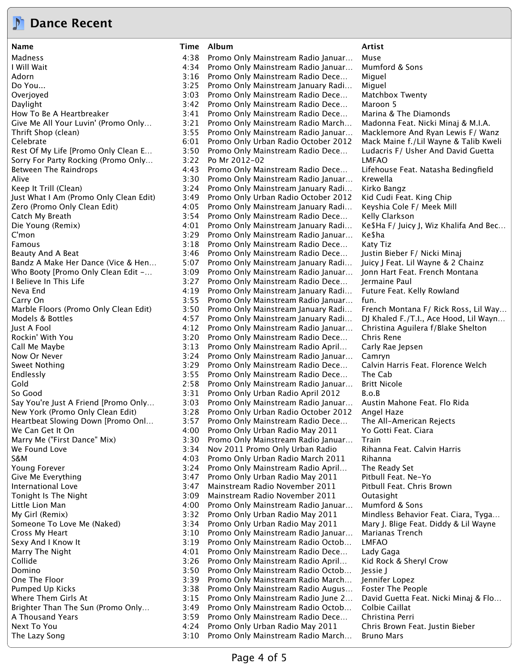# **Dance Recent**

**Name Time Album Artist**

Madness 4:38 Promo Only Mainstream Radio Januar… Muse I Will Wait 4:34 Promo Only Mainstream Radio Januar… Mumford & Sons Adorn **3:16 Promo Only Mainstream Radio Dece...** Miguel Do You... 3:25 Promo Only Mainstream January Radi… Miguel Overjoyed 3:03 Promo Only Mainstream Radio Dece… Matchbox Twenty Daylight 3:42 Promo Only Mainstream Radio Dece… Maroon 5 How To Be A Heartbreaker 3:41 Promo Only Mainstream Radio Dece… Marina & The Diamonds Give Me All Your Luvin' (Promo Only… 3:21 Promo Only Mainstream Radio March… Madonna Feat. Nicki Minaj & M.I.A. Thrift Shop (clean) 3:55 Promo Only Mainstream Radio Januar… Macklemore And Ryan Lewis F/ Wanz Celebrate 6:01 Promo Only Urban Radio October 2012 Mack Maine f./Lil Wayne & Talib Kweli Rest Of My Life [Promo Only Clean E... 3:50 Promo Only Mainstream Radio Dece... Ludacris F/ Usher And David Guetta Sorry For Party Rocking (Promo Only... 3:22 Po Mr 2012-02 LMFAO Between The Raindrops 4:43 Promo Only Mainstream Radio Dece… Lifehouse Feat. Natasha Bedingfield Alive 3:30 Promo Only Mainstream Radio Januar… Krewella Keep It Trill (Clean) **3:24 Promo Only Mainstream January Radi**... Kirko Bangz Just What I Am (Promo Only Clean Edit) 3:49 Promo Only Urban Radio October 2012 Kid Cudi Feat. King Chip Zero (Promo Only Clean Edit) 4:05 Promo Only Mainstream January Radi… Keyshia Cole F/ Meek Mill Catch My Breath 3:54 Promo Only Mainstream Radio Dece… Kelly Clarkson Die Young (Remix) 4:01 Promo Only Mainstream January Radi… Ke\$Ha F/ Juicy J, Wiz Khalifa And Bec… C'mon 3:29 Promo Only Mainstream Radio Januar… Ke\$ha Famous 3:18 Promo Only Mainstream Radio Dece… Katy Tiz Beauty And A Beat 1988 1999 12:46 Promo Only Mainstream Radio Dece... Justin Bieber F/ Nicki Minaj Bandz A Make Her Dance (Vice & Hen… 5:07 Promo Only Mainstream January Radi… Juicy J Feat. Lil Wayne & 2 Chainz Who Booty [Promo Only Clean Edit -… 3:09 Promo Only Mainstream Radio Januar… Jonn Hart Feat. French Montana I Believe In This Life 3:27 Promo Only Mainstream Radio Dece… Jermaine Paul Neva End 4:19 Promo Only Mainstream January Radi… Future Feat. Kelly Rowland Carry On 3:55 Promo Only Mainstream Radio Januar… fun. Marble Floors (Promo Only Clean Edit) 3:50 Promo Only Mainstream January Radi... French Montana F/ Rick Ross, Lil Way... Models & Bottles 4:57 Promo Only Mainstream January Radi… DJ Khaled F./T.I., Ace Hood, Lil Wayn… Just A Fool 4:12 Promo Only Mainstream Radio Januar… Christina Aguilera f/Blake Shelton Rockin' With You **3:20 Promo Only Mainstream Radio Dece...** Chris Rene Call Me Maybe 3:13 Promo Only Mainstream Radio April… Carly Rae Jepsen Now Or Never 3:24 Promo Only Mainstream Radio Januar… Camryn Sweet Nothing The State of the State 3:29 Promo Only Mainstream Radio Dece... Calvin Harris Feat. Florence Welch Endlessly 3:55 Promo Only Mainstream Radio Dece… The Cab Gold 2:58 Promo Only Mainstream Radio Januar… Britt Nicole So Good 3:31 Promo Only Urban Radio April 2012 B.o.B Say You're Just A Friend [Promo Only... 3:03 Promo Only Mainstream Radio Januar... Austin Mahone Feat. Flo Rida New York (Promo Only Clean Edit) 3:28 Promo Only Urban Radio October 2012 Angel Haze Heartbeat Slowing Down [Promo Onl… 3:57 Promo Only Mainstream Radio Dece… The All-American Rejects We Can Get It On 1980 100 1000 4:00 Promo Only Urban Radio May 2011 11 Yo Gotti Feat. Ciara Marry Me ("First Dance" Mix) 3:30 Promo Only Mainstream Radio Januar… Train We Found Love **3:34 Nov 2011 Promo Only Urban Radio** Rihanna Feat. Calvin Harris S&M 4:03 Promo Only Urban Radio March 2011 Rihanna Young Forever 3:24 Promo Only Mainstream Radio April… The Ready Set Give Me Everything The State of the State 3:47 Promo Only Urban Radio May 2011 Pitbull Feat. Ne-Yo International Love 3:47 Mainstream Radio November 2011 Pitbull Feat. Chris Brown Tonight Is The Night 3:09 Mainstream Radio November 2011 Outasight Little Lion Man **All and A.** 4:00 Promo Only Mainstream Radio Januar... Mumford & Sons My Girl (Remix) **3:32 Promo Only Urban Radio May 2011** Mindless Behavior Feat. Ciara, Tyga... Someone To Love Me (Naked) 3:34 Promo Only Urban Radio May 2011 Mary J. Blige Feat. Diddy & Lil Wayne Cross My Heart 3:10 Promo Only Mainstream Radio Januar… Marianas Trench Sexy And I Know It **3:19 Promo Only Mainstream Radio Octob...** LMFAO Marry The Night **4:01 Promo Only Mainstream Radio Dece...** Lady Gaga Collide 3:26 Promo Only Mainstream Radio April… Kid Rock & Sheryl Crow Domino 3:50 Promo Only Mainstream Radio Octob… Jessie J One The Floor **3:39 Promo Only Mainstream Radio March...** Jennifer Lopez Pumped Up Kicks **3:38 Promo Only Mainstream Radio Augus...** Foster The People Where Them Girls At  $3:15$  Promo Only Mainstream Radio June 2... David Guetta Feat. Nicki Minaj & Flo... Brighter Than The Sun (Promo Only… 3:49 Promo Only Mainstream Radio Octob… Colbie Caillat A Thousand Years 3:59 Promo Only Mainstream Radio Dece… Christina Perri Next To You **Arror Communist Communist Communist Communist Communist Communist Communist Communist Communist Co** The Lazy Song 3:10 Promo Only Mainstream Radio March… Bruno Mars